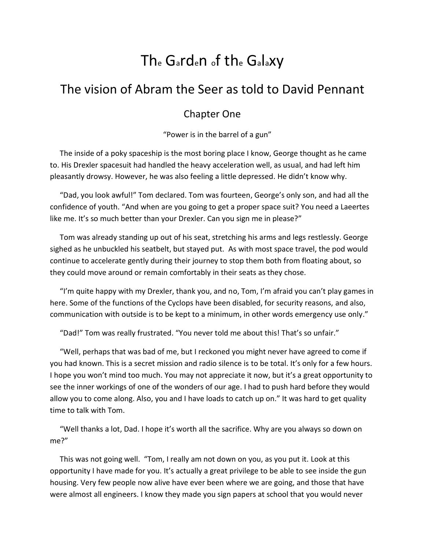## Th<sup>e</sup> Garden of th<sup>e</sup> Galaxy

## The vision of Abram the Seer as told to David Pennant

## Chapter One

"Power is in the barrel of a gun"

The inside of a poky spaceship is the most boring place I know, George thought as he came to. His Drexler spacesuit had handled the heavy acceleration well, as usual, and had left him pleasantly drowsy. However, he was also feeling a little depressed. He didn't know why.

"Dad, you look awful!" Tom declared. Tom was fourteen, George's only son, and had all the confidence of youth. "And when are you going to get a proper space suit? You need a Laeertes like me. It's so much better than your Drexler. Can you sign me in please?"

Tom was already standing up out of his seat, stretching his arms and legs restlessly. George sighed as he unbuckled his seatbelt, but stayed put. As with most space travel, the pod would continue to accelerate gently during their journey to stop them both from floating about, so they could move around or remain comfortably in their seats as they chose.

"I'm quite happy with my Drexler, thank you, and no, Tom, I'm afraid you can't play games in here. Some of the functions of the Cyclops have been disabled, for security reasons, and also, communication with outside is to be kept to a minimum, in other words emergency use only."

"Dad!" Tom was really frustrated. "You never told me about this! That's so unfair."

"Well, perhaps that was bad of me, but I reckoned you might never have agreed to come if you had known. This is a secret mission and radio silence is to be total. It's only for a few hours. I hope you won't mind too much. You may not appreciate it now, but it's a great opportunity to see the inner workings of one of the wonders of our age. I had to push hard before they would allow you to come along. Also, you and I have loads to catch up on." It was hard to get quality time to talk with Tom.

"Well thanks a lot, Dad. I hope it's worth all the sacrifice. Why are you always so down on me?"

This was not going well. "Tom, I really am not down on you, as you put it. Look at this opportunity I have made for you. It's actually a great privilege to be able to see inside the gun housing. Very few people now alive have ever been where we are going, and those that have were almost all engineers. I know they made you sign papers at school that you would never